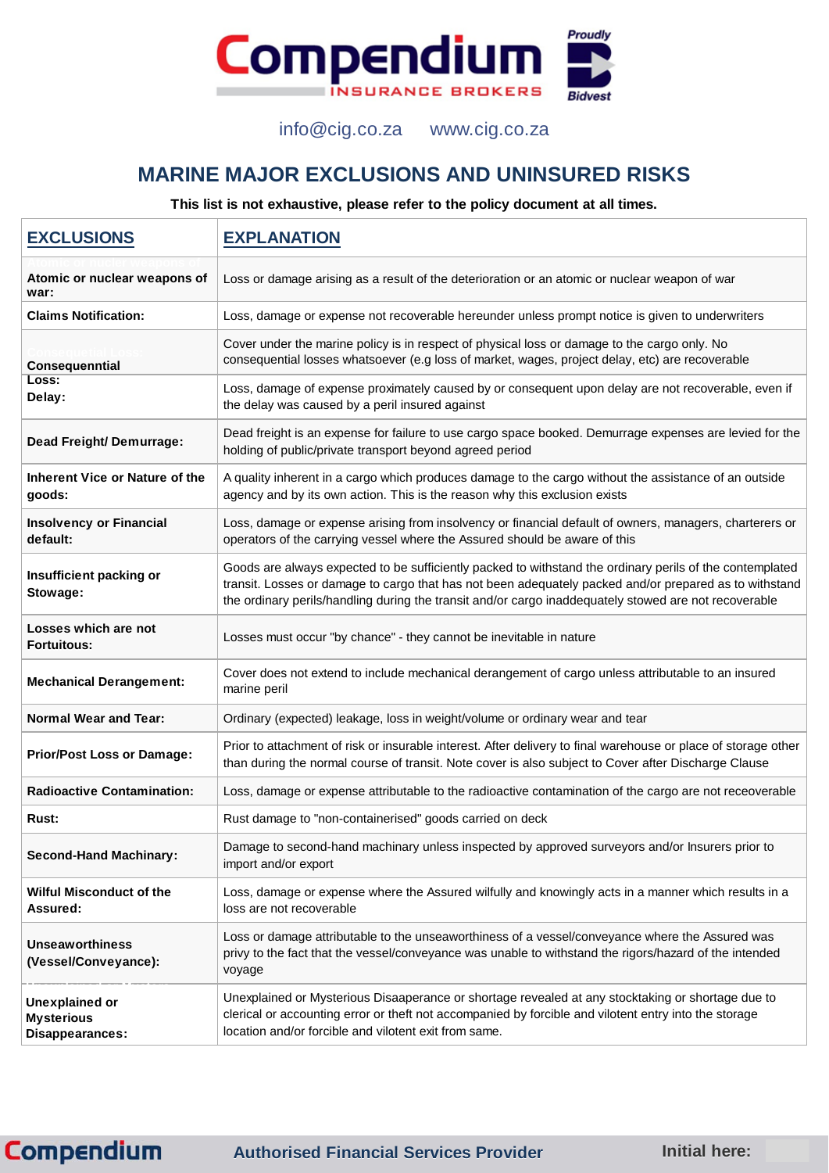

info@cig.co.za www.cig.co.za

## **MARINE MAJOR EXCLUSIONS AND UNINSURED RISKS**

**This list is not exhaustive, please refer to the policy document at all times.**

| <b>EXCLUSIONS</b>                                      | <b>EXPLANATION</b>                                                                                                                                                                                                                                                                                                          |
|--------------------------------------------------------|-----------------------------------------------------------------------------------------------------------------------------------------------------------------------------------------------------------------------------------------------------------------------------------------------------------------------------|
| Atomic or nuclear weapons of<br>war:                   | Loss or damage arising as a result of the deterioration or an atomic or nuclear weapon of war                                                                                                                                                                                                                               |
| <b>Claims Notification:</b>                            | Loss, damage or expense not recoverable hereunder unless prompt notice is given to underwriters                                                                                                                                                                                                                             |
| Consequenntial                                         | Cover under the marine policy is in respect of physical loss or damage to the cargo only. No<br>consequential losses whatsoever (e.g loss of market, wages, project delay, etc) are recoverable                                                                                                                             |
| Loss:<br>Delay:                                        | Loss, damage of expense proximately caused by or consequent upon delay are not recoverable, even if<br>the delay was caused by a peril insured against                                                                                                                                                                      |
| Dead Freight/ Demurrage:                               | Dead freight is an expense for failure to use cargo space booked. Demurrage expenses are levied for the<br>holding of public/private transport beyond agreed period                                                                                                                                                         |
| Inherent Vice or Nature of the<br>goods:               | A quality inherent in a cargo which produces damage to the cargo without the assistance of an outside<br>agency and by its own action. This is the reason why this exclusion exists                                                                                                                                         |
| <b>Insolvency or Financial</b><br>default:             | Loss, damage or expense arising from insolvency or financial default of owners, managers, charterers or<br>operators of the carrying vessel where the Assured should be aware of this                                                                                                                                       |
| Insufficient packing or<br>Stowage:                    | Goods are always expected to be sufficiently packed to withstand the ordinary perils of the contemplated<br>transit. Losses or damage to cargo that has not been adequately packed and/or prepared as to withstand<br>the ordinary perils/handling during the transit and/or cargo inaddequately stowed are not recoverable |
| Losses which are not<br><b>Fortuitous:</b>             | Losses must occur "by chance" - they cannot be inevitable in nature                                                                                                                                                                                                                                                         |
| <b>Mechanical Derangement:</b>                         | Cover does not extend to include mechanical derangement of cargo unless attributable to an insured<br>marine peril                                                                                                                                                                                                          |
| <b>Normal Wear and Tear:</b>                           | Ordinary (expected) leakage, loss in weight/volume or ordinary wear and tear                                                                                                                                                                                                                                                |
| <b>Prior/Post Loss or Damage:</b>                      | Prior to attachment of risk or insurable interest. After delivery to final warehouse or place of storage other<br>than during the normal course of transit. Note cover is also subject to Cover after Discharge Clause                                                                                                      |
| <b>Radioactive Contamination:</b>                      | Loss, damage or expense attributable to the radioactive contamination of the cargo are not receoverable                                                                                                                                                                                                                     |
| Rust:                                                  | Rust damage to "non-containerised" goods carried on deck                                                                                                                                                                                                                                                                    |
| <b>Second-Hand Machinary:</b>                          | Damage to second-hand machinary unless inspected by approved surveyors and/or Insurers prior to<br>import and/or export                                                                                                                                                                                                     |
| Wilful Misconduct of the<br>Assured:                   | Loss, damage or expense where the Assured wilfully and knowingly acts in a manner which results in a<br>loss are not recoverable                                                                                                                                                                                            |
| <b>Unseaworthiness</b><br>(Vessel/Conveyance):         | Loss or damage attributable to the unseaworthiness of a vessel/conveyance where the Assured was<br>privy to the fact that the vessel/conveyance was unable to withstand the rigors/hazard of the intended<br>voyage                                                                                                         |
| Unexplained or<br><b>Mysterious</b><br>Disappearances: | Unexplained or Mysterious Disaaperance or shortage revealed at any stocktaking or shortage due to<br>clerical or accounting error or theft not accompanied by forcible and vilotent entry into the storage<br>location and/or forcible and vilotent exit from same.                                                         |

**Authorised Financial Services Provider Initial here:**